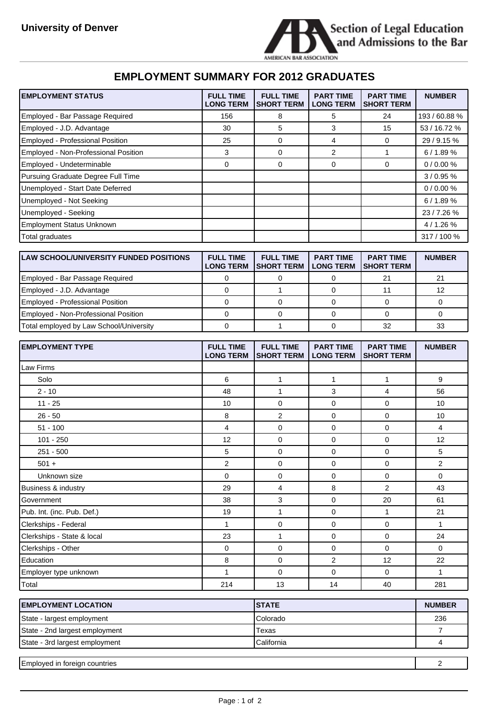

## **EMPLOYMENT SUMMARY FOR 2012 GRADUATES**

| <b>EMPLOYMENT STATUS</b>                      | <b>FULL TIME</b><br><b>LONG TERM</b> | <b>FULL TIME</b><br><b>SHORT TERM</b> | <b>PART TIME</b><br><b>LONG TERM</b> | <b>PART TIME</b><br><b>SHORT TERM</b> | <b>NUMBER</b> |
|-----------------------------------------------|--------------------------------------|---------------------------------------|--------------------------------------|---------------------------------------|---------------|
| Employed - Bar Passage Required               | 156                                  | 8                                     | 5                                    | 24                                    | 193 / 60.88 % |
| Employed - J.D. Advantage                     | 30                                   | 5                                     | $\mathbf{3}$                         | 15                                    | 53 / 16.72 %  |
| Employed - Professional Position              | 25                                   | 0                                     | 4                                    | 0                                     | 29 / 9.15 %   |
| Employed - Non-Professional Position          | 3                                    | 0                                     | 2                                    | 1                                     | 6 / 1.89 %    |
| Employed - Undeterminable                     | 0                                    | 0                                     | 0                                    | 0                                     | 0/0.00%       |
| Pursuing Graduate Degree Full Time            |                                      |                                       |                                      |                                       | 3/0.95%       |
| Unemployed - Start Date Deferred              |                                      |                                       |                                      |                                       | 0/0.00%       |
| Unemployed - Not Seeking                      |                                      |                                       |                                      |                                       | 6/1.89%       |
| Unemployed - Seeking                          |                                      |                                       |                                      |                                       | 23/7.26%      |
| <b>Employment Status Unknown</b>              |                                      |                                       |                                      |                                       | 4 / 1.26 %    |
| Total graduates                               |                                      |                                       |                                      |                                       | 317 / 100 %   |
|                                               |                                      |                                       |                                      |                                       |               |
| <b>LAW SCHOOL/UNIVERSITY FUNDED POSITIONS</b> | <b>FULL TIME</b><br><b>LONG TERM</b> | <b>FULL TIME</b><br><b>SHORT TERM</b> | <b>PART TIME</b><br><b>LONG TERM</b> | <b>PART TIME</b><br><b>SHORT TERM</b> | <b>NUMBER</b> |
| Employed - Bar Passage Required               | 0                                    | 0                                     | 0                                    | 21                                    | 21            |
| Employed - J.D. Advantage                     | $\mathbf 0$                          | $\mathbf{1}$                          | $\mathbf 0$                          | 11                                    | 12            |
| Employed - Professional Position              | 0                                    | 0                                     | 0                                    | 0                                     | 0             |
| Employed - Non-Professional Position          | 0                                    | 0                                     | 0                                    | 0                                     | 0             |
| Total employed by Law School/University       | $\mathbf 0$                          | $\mathbf{1}$                          | 0                                    | 32                                    | 33            |
|                                               |                                      |                                       |                                      |                                       |               |
| <b>EMPLOYMENT TYPE</b>                        | <b>FULL TIME</b><br><b>LONG TERM</b> | <b>FULL TIME</b><br><b>SHORT TERM</b> | <b>PART TIME</b><br><b>LONG TERM</b> | <b>PART TIME</b><br><b>SHORT TERM</b> | <b>NUMBER</b> |
| Law Firms                                     |                                      |                                       |                                      |                                       |               |
| Solo                                          | 6                                    | 1                                     | $\mathbf{1}$                         | 1                                     | 9             |
| $2 - 10$                                      | 48                                   | $\mathbf{1}$                          | 3                                    | 4                                     | 56            |
| $11 - 25$                                     | 10                                   | 0                                     | 0                                    | 0                                     | 10            |
| 26 - 50                                       | 8                                    | 2                                     | $\mathbf 0$                          | 0                                     | 10            |
| 51 - 100                                      | 4                                    | 0                                     | 0                                    | 0                                     | 4             |
| 101 - 250                                     | 12                                   | 0                                     | 0                                    | 0                                     | 12            |
| $251 - 500$                                   | 5                                    | 0                                     | 0                                    | 0                                     | 5             |
| $501 +$                                       | $\overline{\mathbf{c}}$              | 0                                     | 0                                    | 0                                     | 2             |
| Unknown size                                  | 0                                    | 0                                     | 0                                    | 0                                     | 0             |
| Business & industry                           | 29                                   | 4                                     | 8                                    | $\overline{2}$                        | 43            |
| Government                                    | 38                                   | 3                                     | 0                                    | 20                                    | 61            |
| Pub. Int. (inc. Pub. Def.)                    | 19                                   | $\mathbf{1}$                          | $\mathsf 0$                          | 1                                     | 21            |
| Clerkships - Federal                          | $\mathbf{1}$                         | 0                                     | $\mathsf 0$                          | 0                                     | $\mathbf{1}$  |
| Clerkships - State & local                    | 23                                   | $\mathbf{1}$                          | $\pmb{0}$                            | $\mathsf 0$                           | 24            |
| Clerkships - Other                            | 0                                    | 0                                     | 0                                    | $\mathsf{O}\xspace$                   | 0             |
| Education                                     | 8                                    | 0                                     | $\mathbf 2$                          | 12                                    | 22            |
| Employer type unknown                         | 1                                    | 0                                     | $\pmb{0}$                            | 0                                     | $\mathbf{1}$  |
| Total                                         | 214                                  | 13                                    | 14                                   | 40                                    | 281           |

| <b>IEMPLOYMENT LOCATION</b>    | <b>ISTATE</b> | <b>NUMBER</b> |
|--------------------------------|---------------|---------------|
| State - largest employment     | Colorado      | 236           |
| State - 2nd largest employment | Texas         |               |
| State - 3rd largest employment | California    |               |
|                                |               |               |
| Employed in foreign countries  |               |               |